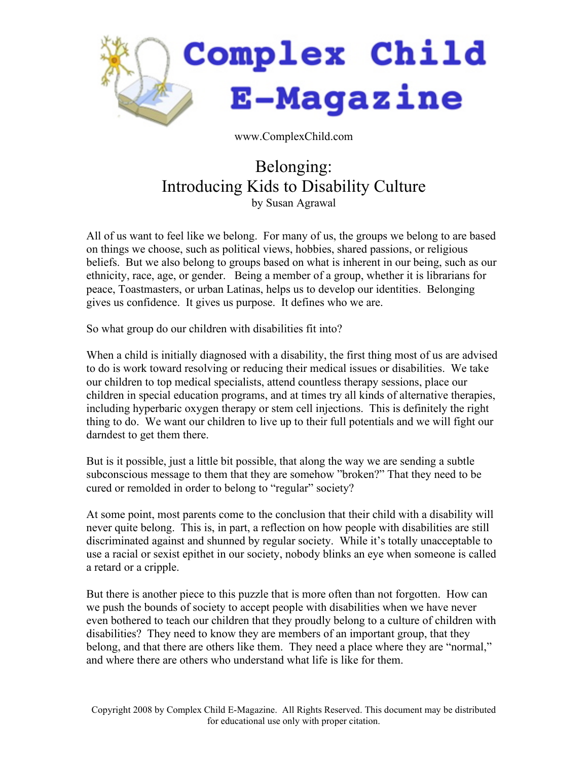

www.ComplexChild.com

## Belonging: Introducing Kids to Disability Culture by Susan Agrawal

All of us want to feel like we belong. For many of us, the groups we belong to are based on things we choose, such as political views, hobbies, shared passions, or religious beliefs. But we also belong to groups based on what is inherent in our being, such as our ethnicity, race, age, or gender. Being a member of a group, whether it is librarians for peace, Toastmasters, or urban Latinas, helps us to develop our identities. Belonging gives us confidence. It gives us purpose. It defines who we are.

So what group do our children with disabilities fit into?

When a child is initially diagnosed with a disability, the first thing most of us are advised to do is work toward resolving or reducing their medical issues or disabilities. We take our children to top medical specialists, attend countless therapy sessions, place our children in special education programs, and at times try all kinds of alternative therapies, including hyperbaric oxygen therapy or stem cell injections. This is definitely the right thing to do. We want our children to live up to their full potentials and we will fight our darndest to get them there.

But is it possible, just a little bit possible, that along the way we are sending a subtle subconscious message to them that they are somehow "broken?" That they need to be cured or remolded in order to belong to "regular" society?

At some point, most parents come to the conclusion that their child with a disability will never quite belong. This is, in part, a reflection on how people with disabilities are still discriminated against and shunned by regular society. While it's totally unacceptable to use a racial or sexist epithet in our society, nobody blinks an eye when someone is called a retard or a cripple.

But there is another piece to this puzzle that is more often than not forgotten. How can we push the bounds of society to accept people with disabilities when we have never even bothered to teach our children that they proudly belong to a culture of children with disabilities? They need to know they are members of an important group, that they belong, and that there are others like them. They need a place where they are "normal," and where there are others who understand what life is like for them.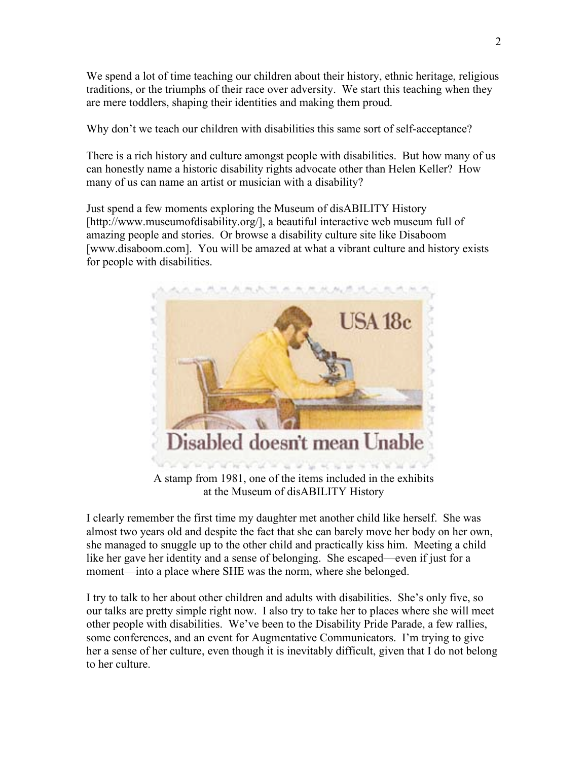We spend a lot of time teaching our children about their history, ethnic heritage, religious traditions, or the triumphs of their race over adversity. We start this teaching when they are mere toddlers, shaping their identities and making them proud.

Why don't we teach our children with disabilities this same sort of self-acceptance?

There is a rich history and culture amongst people with disabilities. But how many of us can honestly name a historic disability rights advocate other than Helen Keller? How many of us can name an artist or musician with a disability?

Just spend a few moments exploring the Museum of disABILITY History [http://www.museumofdisability.org/], a beautiful interactive web museum full of amazing people and stories. Or browse a disability culture site like Disaboom [www.disaboom.com]. You will be amazed at what a vibrant culture and history exists for people with disabilities.



A stamp from 1981, one of the items included in the exhibits at the Museum of disABILITY History

I clearly remember the first time my daughter met another child like herself. She was almost two years old and despite the fact that she can barely move her body on her own, she managed to snuggle up to the other child and practically kiss him. Meeting a child like her gave her identity and a sense of belonging. She escaped—even if just for a moment—into a place where SHE was the norm, where she belonged.

I try to talk to her about other children and adults with disabilities. She's only five, so our talks are pretty simple right now. I also try to take her to places where she will meet other people with disabilities. We've been to the Disability Pride Parade, a few rallies, some conferences, and an event for Augmentative Communicators. I'm trying to give her a sense of her culture, even though it is inevitably difficult, given that I do not belong to her culture.